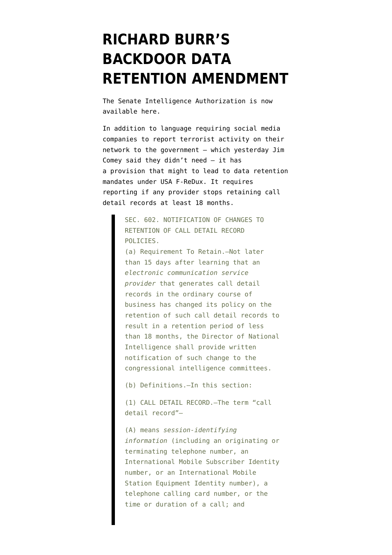## **[RICHARD BURR'S](https://www.emptywheel.net/2015/07/09/burrs-backdoor-data-retention-amendment/) [BACKDOOR DATA](https://www.emptywheel.net/2015/07/09/burrs-backdoor-data-retention-amendment/) [RETENTION AMENDMENT](https://www.emptywheel.net/2015/07/09/burrs-backdoor-data-retention-amendment/)**

The Senate Intelligence Authorization is now available [here](https://www.congress.gov/bill/114th-congress/senate-bill/1705/text).

In addition to language [requiring](https://www.congress.gov/bill/114th-congress/senate-bill/1705/text#toc-id74E5C7B16F84430886009C81E4C2336B) social media companies to report terrorist activity on their network to the government — which yesterday Jim Comey said they didn't need — it has a [provision](https://www.congress.gov/bill/114th-congress/senate-bill/1705/text#toc-idBBB2D016779C4CCAAE5738748111A9A6) that might to lead to data retention mandates under USA F-ReDux. It requires reporting if any provider stops retaining call detail records at least 18 months.

> SEC. 602. NOTIFICATION OF CHANGES TO RETENTION OF CALL DETAIL RECORD POLICIES.

(a) Requirement To Retain.—Not later than 15 days after learning that an *electronic communication service provider* that generates call detail records in the ordinary course of business has changed its policy on the retention of such call detail records to result in a retention period of less than 18 months, the Director of National Intelligence shall provide written notification of such change to the congressional intelligence committees.

(b) Definitions.—In this section:

(1) CALL DETAIL RECORD.—The term "call detail record"—

(A) means *session-identifying information* (including an originating or terminating telephone number, an International Mobile Subscriber Identity number, or an International Mobile Station Equipment Identity number), a telephone calling card number, or the time or duration of a call; and